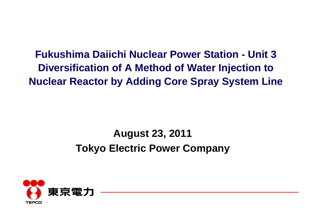**Fukushima Daiichi Nuclear Power Station - Unit 3Diversification of A Method of Water Injection to Nuclear Reactor by Adding Core Spray System Line**

# **August 23, 2011 Tokyo Electric Power Company**

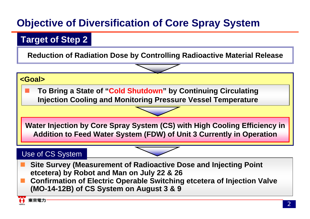## **Objective of Diversification of Core Spray System**

#### **Target of Step 2**

**Reduction of Radiation Dose by Controlling Radioactive Material Release**

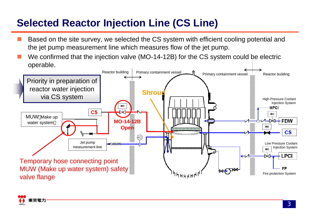## **Selected Reactor Injection Line (CS Line)**

- Based on the site survey, we selected the CS system with efficient cooling potential and the jet pump measurement line which measures flow of the jet pump.
- We confirmed that the injection valve (MO-14-12B) for the CS system could be electric operable.



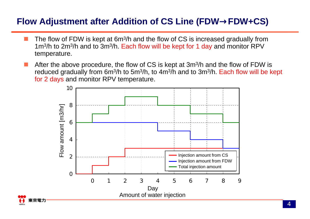#### **Flow Adjustment after Addition of CS Line (FDW**→**FDW+CS)**

- П **The flow of FDW is kept at 6m<sup>3</sup>/h and the flow of CS is increased gradually from** 1m3/h to 2m3/h and to 3m3/h. Each flow will be kept for 1 day and monitor RPV temperature.
- **After the above procedure, the flow of CS is kept at 3m<sup>3</sup>/h and the flow of FDW is** reduced gradually from 6m<sup>3</sup>/h to 5m<sup>3</sup>/h, to 4m<sup>3</sup>/h and to 3m<sup>3</sup>/h. Each flow will be kept for 2 days and monitor RPV temperature.